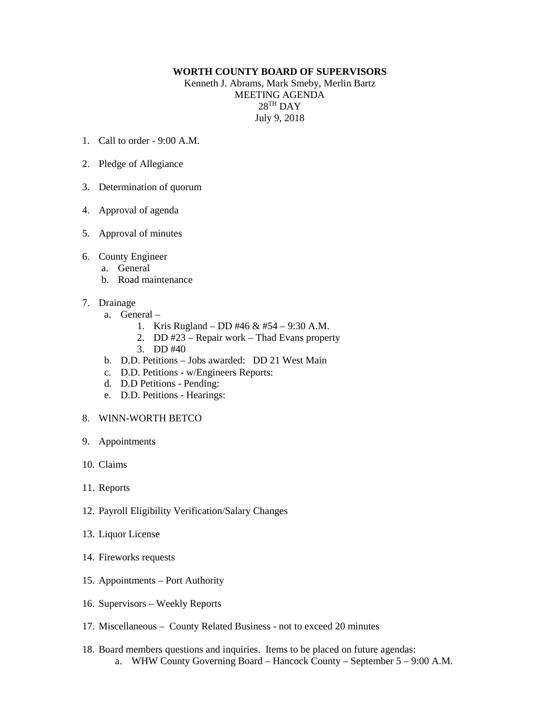## **WORTH COUNTY BOARD OF SUPERVISORS**

Kenneth J. Abrams, Mark Smeby, Merlin Bartz MEETING AGENDA 28TH DAY July 9, 2018

- 1. Call to order 9:00 A.M.
- 2. Pledge of Allegiance
- 3. Determination of quorum
- 4. Approval of agenda
- 5. Approval of minutes
- 6. County Engineer
	- a. General
	- b. Road maintenance
- 7. Drainage
	- a. General
		- 1. Kris Rugland DD #46 & #54 9:30 A.M.
		- 2. DD #23 Repair work Thad Evans property
		- 3. DD #40
	- b. D.D. Petitions Jobs awarded: DD 21 West Main
	- c. D.D. Petitions w/Engineers Reports:
	- d. D.D Petitions Pending:
	- e. D.D. Petitions Hearings:
- 8. WINN-WORTH BETCO
- 9. Appointments
- 10. Claims
- 11. Reports
- 12. Payroll Eligibility Verification/Salary Changes
- 13. Liquor License
- 14. Fireworks requests
- 15. Appointments Port Authority
- 16. Supervisors Weekly Reports
- 17. Miscellaneous County Related Business not to exceed 20 minutes
- 18. Board members questions and inquiries. Items to be placed on future agendas: a. WHW County Governing Board – Hancock County – September 5 – 9:00 A.M.